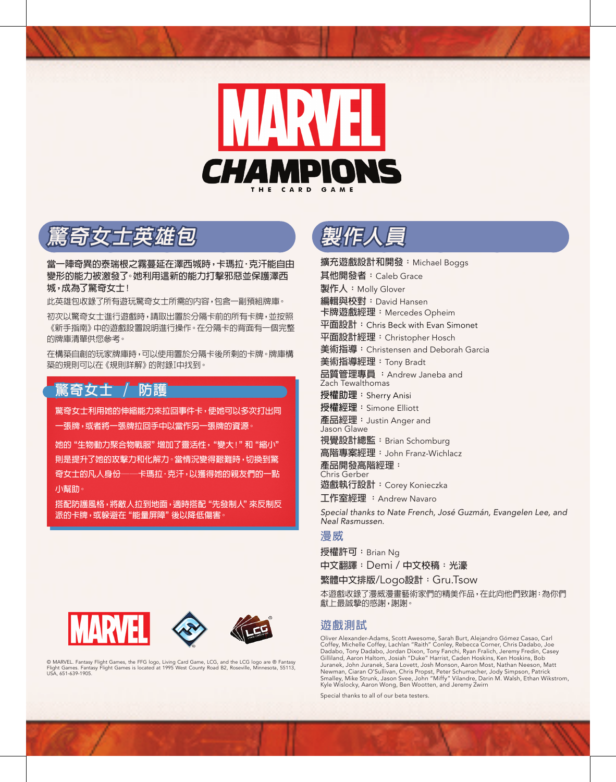

**驚奇女士英雄包**

**當一陣奇異的泰瑞根之霧蔓延在澤西城時,卡瑪拉•克汗能自由 變形的能力被激發了。她利用這新的能力打擊邪惡並保護澤西 城,成為了驚奇女士!**

此英雄包收錄了所有遊玩驚奇女士所需的內容,包含一副預組牌庫。

初次以驚奇女士進行遊戲時,請取出置於分隔卡前的所有卡牌,並按照 《新手指南》中的遊戲設置說明進行操作。在分隔卡的背面有一個完整 的牌庫清單供您參考。

在構築自創的玩家牌庫時,可以使用置於分隔卡後所剩的卡牌。牌庫構 築的規則可以在《規則詳解》的附錄I中找到。

## **驚奇女士 / 防護**

**驚奇女士利用她的伸縮能力來拉回事件卡,使她可以多次打出同 一張牌,或者將一張牌拉回手中以當作另一張牌的資源。**

**她的"生物動力聚合物戰服"增加了靈活性,"變大!"和"縮小" 則是提升了她的攻擊力和化解力。當情況變得艱難時,切換到驚 奇女士的凡人身份──卡瑪拉•克汗,以獲得她的親友們的一點 小幫助。**

**搭配防護風格,將敵人拉到地面,適時搭配"先發制人"來反制反 派的卡牌,或躲避在"能量屏障"後以降低傷害。**



© MARVEL. Fantasy Flight Games, the FFG logo, Living Card Game, LCG, and the LCG logo are ® Fantasy Flight Games. Fantasy Flight Games is located at 1995 West County Road B2, Roseville, Minnesota, 55113, USA, 651-639-1905.



**擴充遊戲設計和開發:**Michael Boggs **其他開發者:**Caleb Grace **製作人:**Molly Glover **編輯與校對:**David Hansen **卡牌遊戲經理:**Mercedes Opheim **平面設計:**Chris Beck with Evan Simonet **平面設計經理:**Christopher Hosch **美術指導:**Christensen and Deborah Garcia **美術指導經理:**Tony Bradt **品質管理專員 :**Andrew Janeba and Zach Tewalthomas **授權助理:**Sherry Anisi **授權經理:**Simone Elliott **產品經理:**Justin Anger and Jason Glawe **視覺設計總監:**Brian Schomburg **高階專案經理:**John Franz-Wichlacz **產品開發高階經理:** Chris Gerber **遊戲執行設計:**Corey Konieczka **工作室經理 :**Andrew Navaro *Special thanks to Nate French, José Guzmán, Evangelen Lee, and Neal Rasmussen.*

## **漫威**

**授權許可:**Brian Ng

**中文翻譯:**Demi / **中文校稿:光濠**

**繁體中文排版**/Logo**設計:**Gru.Tsow

本遊戲收錄了漫威漫畫藝術家們的精美作品,在此向他們致謝:為你們 獻上最誠摯的感謝,謝謝。

## **遊戲測試**

Oliver Alexander-Adams, Scott Awesome, Sarah Burt, Alejandro Gómez Casao, Carl<br>Coffey, Michelle Coffey, Lachlan "Raith" Conley, Rebecca Corner, Chris Dadabo, Joe<br>Dadabo, Tony Dadabo, Jordan Dixon, Tony Fanchi, Ryan Fralich Gilliland, Aaron Haltom, Josiah "Duke" Harrist, Caden Hoskins, Ken Hoskins, Bob Juranek, John Juranek, Sara Lovett, Josh Monson, Aaron Most, Nathan Neeson, Matt Newman, Ciaran O'Sullivan, Chris Propst, Peter Schumacher, Jody Simpson, Patrick Smalley, Mike Strunk, Jason Svee, John "Miffy" Vilandre, Darin M. Walsh, Ethan Wikstrom, Kyle Wislocky, Aaron Wong, Ben Wootten, and Jeremy Zwirn

Special thanks to all of our beta testers.